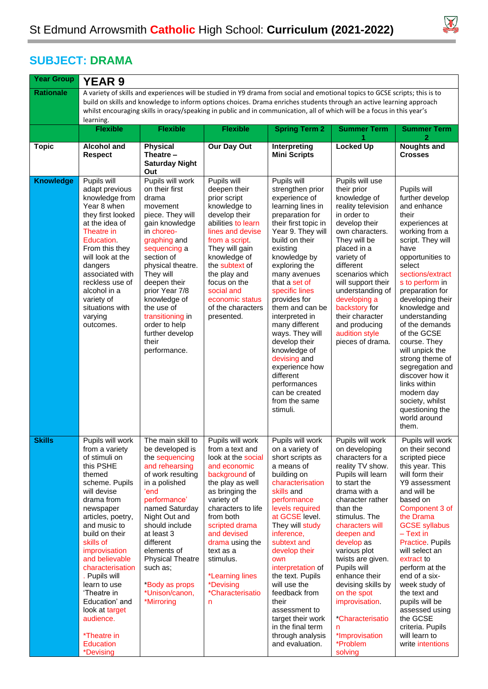

 $\overline{\phantom{a}}$ 

## **SUBJECT: DRAMA**

| <b>Year Group</b> | <b>YEAR 9</b>                                                                                                                                                                                                                                                                                                                                                                                                       |                                                                                                                                                                                                                                                                                                                                              |                                                                                                                                                                                                                                                                                                                                                |                                                                                                                                                                                                                                                                                                                                                                                                                                                                                                  |                                                                                                                                                                                                                                                                                                                                                                                                                                     |                                                                                                                                                                                                                                                                                                                                                                                                                                                                                                 |  |  |  |  |
|-------------------|---------------------------------------------------------------------------------------------------------------------------------------------------------------------------------------------------------------------------------------------------------------------------------------------------------------------------------------------------------------------------------------------------------------------|----------------------------------------------------------------------------------------------------------------------------------------------------------------------------------------------------------------------------------------------------------------------------------------------------------------------------------------------|------------------------------------------------------------------------------------------------------------------------------------------------------------------------------------------------------------------------------------------------------------------------------------------------------------------------------------------------|--------------------------------------------------------------------------------------------------------------------------------------------------------------------------------------------------------------------------------------------------------------------------------------------------------------------------------------------------------------------------------------------------------------------------------------------------------------------------------------------------|-------------------------------------------------------------------------------------------------------------------------------------------------------------------------------------------------------------------------------------------------------------------------------------------------------------------------------------------------------------------------------------------------------------------------------------|-------------------------------------------------------------------------------------------------------------------------------------------------------------------------------------------------------------------------------------------------------------------------------------------------------------------------------------------------------------------------------------------------------------------------------------------------------------------------------------------------|--|--|--|--|
| <b>Rationale</b>  | A variety of skills and experiences will be studied in Y9 drama from social and emotional topics to GCSE scripts; this is to<br>build on skills and knowledge to inform options choices. Drama enriches students through an active learning approach<br>whilst encouraging skills in oracy/speaking in public and in communication, all of which will be a focus in this year's<br>learning.                        |                                                                                                                                                                                                                                                                                                                                              |                                                                                                                                                                                                                                                                                                                                                |                                                                                                                                                                                                                                                                                                                                                                                                                                                                                                  |                                                                                                                                                                                                                                                                                                                                                                                                                                     |                                                                                                                                                                                                                                                                                                                                                                                                                                                                                                 |  |  |  |  |
|                   | <b>Flexible</b>                                                                                                                                                                                                                                                                                                                                                                                                     | <b>Flexible</b>                                                                                                                                                                                                                                                                                                                              | <b>Flexible</b>                                                                                                                                                                                                                                                                                                                                | <b>Spring Term 2</b>                                                                                                                                                                                                                                                                                                                                                                                                                                                                             | <b>Summer Term</b><br>1                                                                                                                                                                                                                                                                                                                                                                                                             | <b>Summer Term</b><br>2                                                                                                                                                                                                                                                                                                                                                                                                                                                                         |  |  |  |  |
| <b>Topic</b>      | <b>Alcohol and</b><br><b>Respect</b>                                                                                                                                                                                                                                                                                                                                                                                | Physical<br>Theatre -<br><b>Saturday Night</b><br>Out                                                                                                                                                                                                                                                                                        | Our Day Out                                                                                                                                                                                                                                                                                                                                    | Interpreting<br><b>Mini Scripts</b>                                                                                                                                                                                                                                                                                                                                                                                                                                                              | <b>Locked Up</b>                                                                                                                                                                                                                                                                                                                                                                                                                    | <b>Noughts and</b><br><b>Crosses</b>                                                                                                                                                                                                                                                                                                                                                                                                                                                            |  |  |  |  |
| <b>Knowledge</b>  | Pupils will<br>adapt previous<br>knowledge from<br>Year 8 when<br>they first looked<br>at the idea of<br>Theatre in<br>Education.<br>From this they<br>will look at the<br>dangers<br>associated with<br>reckless use of<br>alcohol in a<br>variety of<br>situations with<br>varying<br>outcomes.                                                                                                                   | Pupils will work<br>on their first<br>drama<br>movement<br>piece. They will<br>gain knowledge<br>in choreo-<br>graphing and<br>sequencing a<br>section of<br>physical theatre.<br>They will<br>deepen their<br>prior Year 7/8<br>knowledge of<br>the use of<br>transitioning in<br>order to help<br>further develop<br>their<br>performance. | Pupils will<br>deepen their<br>prior script<br>knowledge to<br>develop their<br>abilities to learn<br>lines and devise<br>from a script.<br>They will gain<br>knowledge of<br>the subtext of<br>the play and<br>focus on the<br>social and<br>economic status<br>of the characters<br>presented.                                               | Pupils will<br>strengthen prior<br>experience of<br>learning lines in<br>preparation for<br>their first topic in<br>Year 9. They will<br>build on their<br>existing<br>knowledge by<br>exploring the<br>many avenues<br>that a set of<br>specific lines<br>provides for<br>them and can be<br>interpreted in<br>many different<br>ways. They will<br>develop their<br>knowledge of<br>devising and<br>experience how<br>different<br>performances<br>can be created<br>from the same<br>stimuli. | Pupils will use<br>their prior<br>knowledge of<br>reality television<br>in order to<br>develop their<br>own characters.<br>They will be<br>placed in a<br>variety of<br>different<br>scenarios which<br>will support their<br>understanding of<br>developing a<br>backstory for<br>their character<br>and producing<br>audition style<br>pieces of drama.                                                                           | Pupils will<br>further develop<br>and enhance<br>their<br>experiences at<br>working from a<br>script. They will<br>have<br>opportunities to<br>select<br>sections/extract<br>s to perform in<br>preparation for<br>developing their<br>knowledge and<br>understanding<br>of the demands<br>of the GCSE<br>course. They<br>will unpick the<br>strong theme of<br>segregation and<br>discover how it<br>links within<br>modern day<br>society, whilst<br>questioning the<br>world around<br>them. |  |  |  |  |
| <b>Skills</b>     | Pupils will work<br>from a variety<br>of stimuli on<br>this PSHE<br>themed<br>scheme. Pupils<br>will devise<br>drama from<br>newspaper<br>articles, poetry,<br>and music to<br>build on their<br>skills of<br>improvisation<br>and believable<br>characterisation<br>. Pupils will<br>learn to use<br>'Theatre in<br>Education' and<br>look at target<br>audience.<br><i>*</i> Theatre in<br>Education<br>*Devising | The main skill to<br>be developed is<br>the sequencing<br>and rehearsing<br>of work resulting<br>in a polished<br>ʻend<br>performance'<br>named Saturday<br>Night Out and<br>should include<br>at least 3<br>different<br>elements of<br><b>Physical Theatre</b><br>such as;<br>*Body as props<br>*Unison/canon,<br>*Mirroring               | Pupils will work<br>from a text and<br>look at the social<br>and economic<br>background of<br>the play as well<br>as bringing the<br>variety of<br>characters to life<br>from both<br>scripted drama<br>and devised<br>drama using the<br>text as a<br>stimulus.<br>*Learning lines<br><i><b>*Devising</b></i><br><i>*Characterisatio</i><br>n | Pupils will work<br>on a variety of<br>short scripts as<br>a means of<br>building on<br>characterisation<br>skills and<br>performance<br>levels required<br>at GCSE level.<br>They will study<br>inference,<br>subtext and<br>develop their<br>own<br>interpretation of<br>the text. Pupils<br>will use the<br>feedback from<br>their<br>assessment to<br>target their work<br>in the final term<br>through analysis<br>and evaluation.                                                          | Pupils will work<br>on developing<br>characters for a<br>reality TV show.<br>Pupils will learn<br>to start the<br>drama with a<br>character rather<br>than the<br>stimulus. The<br>characters will<br>deepen and<br>develop as<br>various plot<br>twists are given.<br>Pupils will<br>enhance their<br>devising skills by<br>on the spot<br>improvisation.<br><i>*Characterisatio</i><br>n<br>*Improvisation<br>*Problem<br>solving | Pupils will work<br>on their second<br>scripted piece<br>this year. This<br>will form their<br>Y9 assessment<br>and will be<br>based on<br>Component 3 of<br>the Drama<br><b>GCSE syllabus</b><br>$-$ Text in<br>Practice. Pupils<br>will select an<br>extract to<br>perform at the<br>end of a six-<br>week study of<br>the text and<br>pupils will be<br>assessed using<br>the GCSE<br>criteria. Pupils<br>will learn to<br>write intentions                                                  |  |  |  |  |